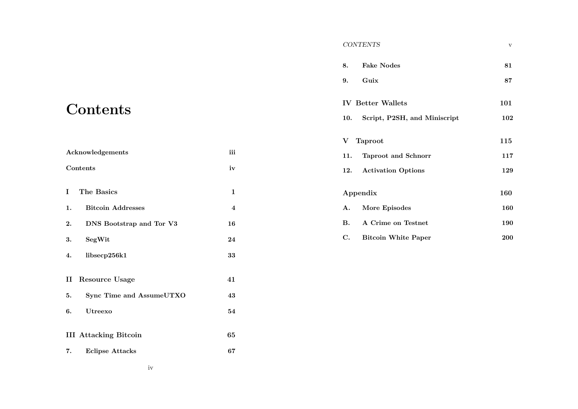# **Contents**

| Acknowledgements                           | iii |
|--------------------------------------------|-----|
| Contents                                   | iv  |
| L<br>The Basics                            | 1   |
| <b>Bitcoin Addresses</b><br>$\mathbf{1}$ . | 4   |
| 2.<br>DNS Bootstrap and Tor V3             | 16  |
| 3.<br>SegWit                               | 24  |
| libsecp256k1<br>4.                         | 33  |
| $\mathbf{I}$<br><b>Resource Usage</b>      | 41  |
| Sync Time and AssumeUTXO<br>5.             | 43  |
| 6.<br>Utreexo                              | 54  |
| <b>III</b> Attacking Bitcoin               | 65  |
| 7.<br><b>Eclipse Attacks</b>               | 67  |

| 8.        | <b>Fake Nodes</b>            | 81  |
|-----------|------------------------------|-----|
| 9.        | Guix                         | 87  |
|           | <b>IV</b> Better Wallets     | 101 |
| 10.       | Script, P2SH, and Miniscript | 102 |
|           | V Taproot                    | 115 |
| 11.       | <b>Taproot and Schnorr</b>   | 117 |
| 12.       | <b>Activation Options</b>    | 129 |
| Appendix  | 160                          |     |
| A.        | More Episodes                | 160 |
| <b>B.</b> | A Crime on Testnet           | 190 |
| C.        | <b>Bitcoin White Paper</b>   | 200 |

*CONTENTS* v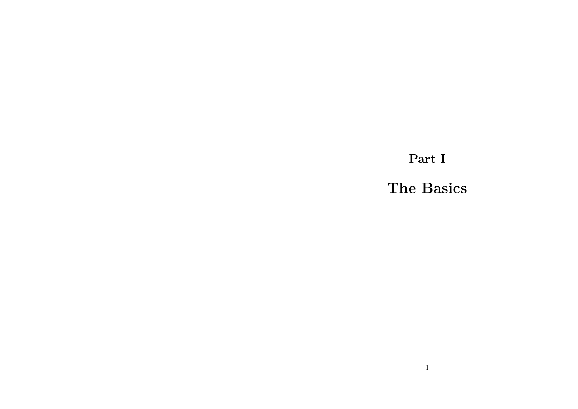**Part I**

**The Basics**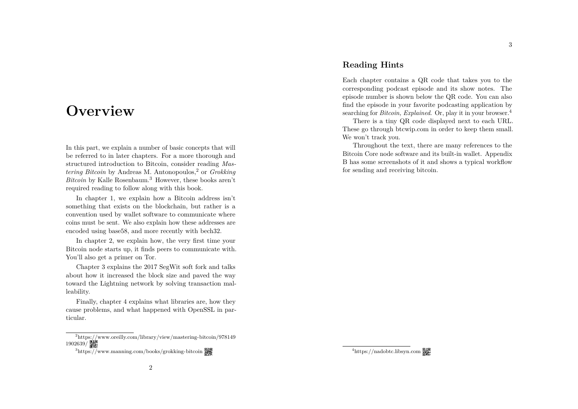### **Overview**

In this part, we explain a number of basic concepts that will be referred to in later chapters. For a more thorough and structured introduction to Bitcoin, consider reading *Mastering Bitcoin* by Andreas M. Antonopoulos,<sup>2</sup> or *Grokking Bitcoin* by Kalle Rosenbaum.<sup>3</sup> However, these books aren't required reading to follow along with this book.

In chapter 1, we explain how a Bitcoin address isn't something that exists on the blockchain, but rather is a convention used by wallet software to communicate where coins must be sent. We also explain how these addresses are encoded using base58, and more recently with bech32.

In chapter 2, we explain how, the very first time your Bitcoin node starts up, it finds peers to communicate with. You'll also get a primer on Tor.

Chapter 3 explains the 2017 SegWit soft fork and talks about how it increased the block size and paved the way toward the Lightning network by solving transaction malleability.

Finally, chapter 4 explains what libraries are, how they cause problems, and what happened with OpenSSL in particular.

#### **Reading Hints**

Each chapter contains a QR code that takes you to the corresponding podcast episode and its show notes. The episode number is shown below the QR code. You can also find the episode in your favorite podcasting application by searching for *Bitcoin, Explained*. Or, play it in your browser.<sup>4</sup>

There is a tiny QR code displayed next to each URL. These go through btcwip.com in order to keep them small. We won't track you.

Throughout the text, there are many references to the Bitcoin Core node software and its built-in wallet. Appendix B has some screenshots of it and shows a typical workflow for sending and receiving bitcoin.

<sup>2</sup>https://www.oreilly.com/library/view/mastering-bitcoin/978149 1902639/

<sup>&</sup>lt;sup>3</sup>https://www.manning.com/books/grokking-bitcoin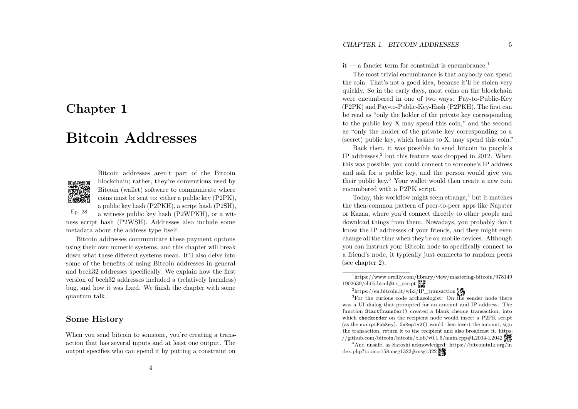### **Chapter 1**

## **Bitcoin Addresses**



Ep. 28

Bitcoin addresses aren't part of the Bitcoin blockchain; rather, they're conventions used by Bitcoin (wallet) software to communicate where coins must be sent to: either a public key (P2PK), a public key hash (P2PKH), a script hash (P2SH), a witness public key hash (P2WPKH), or a wit-

ness script hash (P2WSH). Addresses also include some metadata about the address type itself.

Bitcoin addresses communicate these payment options using their own numeric systems, and this chapter will break down what these different systems mean. It'll also delve into some of the benefits of using Bitcoin addresses in general and bech32 addresses specifically. We explain how the first version of bech32 addresses included a (relatively harmless) bug, and how it was fixed. We finish the chapter with some quantum talk.

#### **Some History**

When you send bitcoin to someone, you're creating a transaction that has several inputs and at least one output. The output specifies who can spend it by putting a constraint on

it — a fancier term for constraint is encumbrance.<sup>1</sup>

The most trivial encumbrance is that anybody can spend the coin. That's not a good idea, because it'll be stolen very quickly. So in the early days, most coins on the blockchain were encumbered in one of two ways: Pay-to-Public-Key (P2PK) and Pay-to-Public-Key-Hash (P2PKH). The first can be read as "only the holder of the private key corresponding to the public key X may spend this coin," and the second as "only the holder of the private key corresponding to a (secret) public key, which hashes to X, may spend this coin."

Back then, it was possible to send bitcoin to people's IP addresses, <sup>2</sup> but this feature was dropped in 2012. When this was possible, you could connect to someone's IP address and ask for a public key, and the person would give you their public key. <sup>3</sup> Your wallet would then create a new coin encumbered with a P2PK script.

Today, this workflow might seem strange, <sup>4</sup> but it matches the then-common pattern of peer-to-peer apps like Napster or Kazaa, where you'd connect directly to other people and download things from them. Nowadays, you probably don't know the IP addresses of your friends, and they might even change all the time when they're on mobile devices. Although you can instruct your Bitcoin node to specifically connect to a friend's node, it typically just connects to random peers (see chapter 2).

<sup>3</sup>For the curious code archaeologist: On the sender node there was a UI dialog that prompted for an amount and IP address. The function StartTransfer() created a blank cheque transaction, into which checkorder on the recipient node would insert a P2PK script (as the scriptPubKey). OnReply2() would then insert the amount, sign the transaction, return it to the recipient and also broadcast it. https: //github.com/bitcoin/bitcoin/blob/v0.1.5/main.cpp#L2004-L2042

<sup>4</sup>And unsafe, as Satoshi acknowledged: https://bitcointalk.org/in dex.php?topic=158.msg1322#msg1322

<sup>&</sup>lt;sup>1</sup>https://www.oreilly.com/library/view/mastering-bitcoin/978149  $1902639$ /ch05.html $\#$ tx\_script

<sup>&</sup>lt;sup>2</sup>https://en.bitcoin.it/wiki/IP\_transaction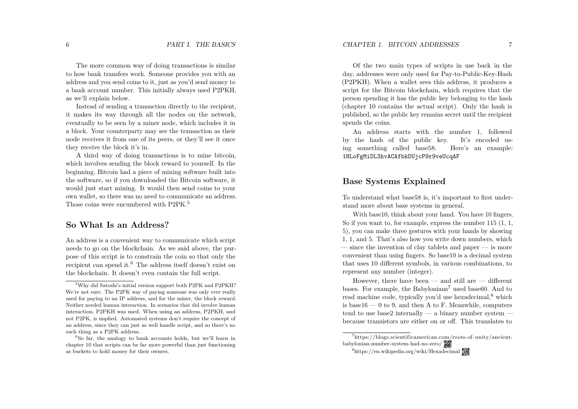The more common way of doing transactions is similar to how bank transfers work. Someone provides you with an address and you send coins to it, just as you'd send money to a bank account number. This initially always used P2PKH, as we'll explain below.

Instead of sending a transaction directly to the recipient, it makes its way through all the nodes on the network, eventually to be seen by a miner node, which includes it in a block. Your counterparty may see the transaction as their node receives it from one of its peers, or they'll see it once they receive the block it's in.

A third way of doing transactions is to mine bitcoin, which involves sending the block reward to yourself. In the beginning, Bitcoin had a piece of mining software built into the software, so if you downloaded the Bitcoin software, it would just start mining. It would then send coins to your own wallet, so there was no need to communicate an address. Those coins were encumbered with P2PK. 5

#### **So What Is an Address?**

An address is a convenient way to communicate which script needs to go on the blockchain. As we said above, the purpose of this script is to constrain the coin so that only the recipient can spend it.<sup>6</sup> The address itself doesn't exist on the blockchain. It doesn't even contain the full script.

Of the two main types of scripts in use back in the day, addresses were only used for Pay-to-Public-Key-Hash (P2PKH). When a wallet sees this address, it produces a script for the Bitcoin blockchain, which requires that the person spending it has the public key belonging to the hash (chapter 10 contains the actual script). Only the hash is published, so the public key remains secret until the recipient spends the coins.

An address starts with the number 1, followed by the hash of the public key. It's encoded using something called base58. Here's an example: 1HLoFgMiDL3hvACAfbkDUjcP9r9veUcqAF

#### **Base Systems Explained**

To understand what base58 is, it's important to first understand more about base systems in general.

With base10, think about your hand. You have 10 fingers. So if you want to, for example, express the number 115 (1, 1, 5), you can make three gestures with your hands by showing 1, 1, and 5. That's also how you write down numbers, which — since the invention of clay tablets and paper — is more convenient than using fingers. So base10 is a decimal system that uses 10 different symbols, in various combinations, to represent any number (integer).

However, there have been  $-$  and still are  $-$  different bases. For example, the Babylonians <sup>7</sup> used base60. And to read machine code, typically you'd use hexadecimal,<sup>8</sup> which is base16  $-$  0 to 9, and then A to F. Meanwhile, computers tend to use base2 internally — a binary number system because transistors are either on or o . This translates to

<sup>5</sup>Why did Satoshi's initial version support both P2PK and P2PKH? We're not sure. The P2PK way of paying someone was only ever really used for paying to an IP address, and for the miner, the block reward. Neither needed human interaction. In scenarios that did involve human interaction, P2PKH was used. When using an address, P2PKH, and not P2PK, is implied. Automated systems don't require the concept of an address, since they can just as well handle script, and so there's no such thing as a P2PK address.

 ${}^{6}$ So far, the analogy to bank accounts holds, but we'll learn in chapter 10 that scripts can be far more powerful than just functioning as buckets to hold money for their owners.

<sup>7</sup>https://blogs.scientificamerican.com/roots-of -unity/ancientbabylonian-number-system-had-no-zero/

<sup>8</sup>https://en.wikipedia.org/wiki/Hexadecimal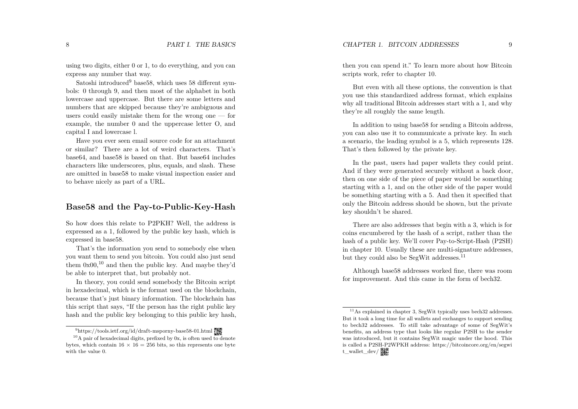using two digits, either 0 or 1, to do everything, and you can express any number that way.

Satoshi introduced<sup>9</sup> base58, which uses 58 different symbols: 0 through 9, and then most of the alphabet in both lowercase and uppercase. But there are some letters and numbers that are skipped because they're ambiguous and users could easily mistake them for the wrong one — for example, the number 0 and the uppercase letter O, and capital I and lowercase l.

Have you ever seen email source code for an attachment or similar? There are a lot of weird characters. That's base64, and base58 is based on that. But base64 includes characters like underscores, plus, equals, and slash. These are omitted in base58 to make visual inspection easier and to behave nicely as part of a URL.

#### **Base58 and the Pay-to-Public-Key-Hash**

So how does this relate to P2PKH? Well, the address is expressed as a 1, followed by the public key hash, which is expressed in base58.

That's the information you send to somebody else when you want them to send you bitcoin. You could also just send them  $0x00$ ,<sup>10</sup> and then the public key. And maybe they'd be able to interpret that, but probably not.

In theory, you could send somebody the Bitcoin script in hexadecimal, which is the format used on the blockchain, because that's just binary information. The blockchain has this script that says, "If the person has the right public key hash and the public key belonging to this public key hash, then you can spend it." To learn more about how Bitcoin scripts work, refer to chapter 10.

But even with all these options, the convention is that you use this standardized address format, which explains why all traditional Bitcoin addresses start with a 1, and why they're all roughly the same length.

In addition to using base58 for sending a Bitcoin address, you can also use it to communicate a private key. In such a scenario, the leading symbol is a 5, which represents 128. That's then followed by the private key.

In the past, users had paper wallets they could print. And if they were generated securely without a back door, then on one side of the piece of paper would be something starting with a 1, and on the other side of the paper would be something starting with a 5. And then it specified that only the Bitcoin address should be shown, but the private key shouldn't be shared.

There are also addresses that begin with a 3, which is for coins encumbered by the hash of a script, rather than the hash of a public key. We'll cover Pay-to-Script-Hash (P2SH) in chapter 10. Usually these are multi-signature addresses, but they could also be SegWit addresses.<sup>11</sup>

Although base58 addresses worked fine, there was room for improvement. And this came in the form of bech32.

<sup>&</sup>lt;sup>9</sup>https://tools.ietf.org/id/draft-msporny-base58-01.html

 $10<sub>A</sub>$  pair of hexadecimal digits, prefixed by 0x, is often used to denote bytes, which contain  $16 \times 16 = 256$  bits, so this represents one byte with the value 0.

 $11$ As explained in chapter 3, SegWit typically uses bech32 addresses. But it took a long time for all wallets and exchanges to support sending to bech32 addresses. To still take advantage of some of SegWit's benefits, an address type that looks like regular P2SH to the sender was introduced, but it contains SegWit magic under the hood. This is called a P2SH-P2WPKH address: https://bitcoincore.org/en/segwi t\_wallet\_dev/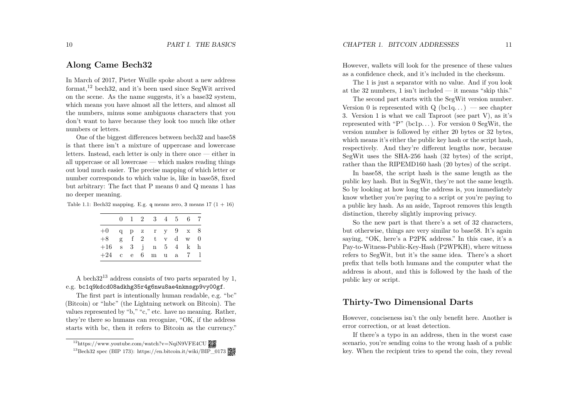#### **Along Came Bech32**

In March of 2017, Pieter Wuille spoke about a new address format,<sup>12</sup> bech32, and it's been used since SegWit arrived on the scene. As the name suggests, it's a base32 system, which means you have almost all the letters, and almost all the numbers, minus some ambiguous characters that you don't want to have because they look too much like other numbers or letters.

One of the biggest differences between bech32 and base58 is that there isn't a mixture of uppercase and lowercase letters. Instead, each letter is only in there once — either in all uppercase or all lowercase — which makes reading things out loud much easier. The precise mapping of which letter or number corresponds to which value is, like in base58, fixed but arbitrary: The fact that P means 0 and Q means 1 has no deeper meaning.

Table 1.1: Bech32 mapping. E.g. q means zero, 3 means  $17$   $(1 + 16)$ 

|                          |  | $0 \quad 1 \quad 2 \quad 3 \quad 4 \quad 5 \quad 6 \quad 7$ |  |  |
|--------------------------|--|-------------------------------------------------------------|--|--|
| $+0$ q p z r y $9$ x $8$ |  |                                                             |  |  |
| $+8$ g f 2 t v d w 0     |  |                                                             |  |  |
| $+16$ s 3 j n 5 4 k h    |  |                                                             |  |  |
| $+24$ c e                |  | $6 \text{ m}$ u a $7 \text{ l}$                             |  |  |

A bech32<sup>13</sup> address consists of two parts separated by 1, e.g. bc1q9kdcd08adkhg35r4g6nwu8ae4nkmsgp9vy00gf .

The first part is intentionally human readable, e.g. "bc" (Bitcoin) or "lnbc" (the Lightning network on Bitcoin). The values represented by "b," "c," etc. have no meaning. Rather, they're there so humans can recognize, "OK, if the address starts with bc, then it refers to Bitcoin as the currency." However, wallets will look for the presence of these values as a confidence check, and it's included in the checksum.

The 1 is just a separator with no value. And if you look at the 32 numbers, 1 isn't included — it means "skip this."

The second part starts with the SegWit version number. Version 0 is represented with  $Q$  (bc1q...) — see chapter 3. Version 1 is what we call Taproot (see part V), as it's represented with "P"  $(bclp...)$ . For version 0 SegWit, the version number is followed by either 20 bytes or 32 bytes, which means it's either the public key hash or the script hash, respectively. And they're different lengths now, because SegWit uses the SHA-256 hash (32 bytes) of the script, rather than the RIPEMD160 hash (20 bytes) of the script.

In base58, the script hash is the same length as the public key hash. But in SegWit, they're not the same length. So by looking at how long the address is, you immediately know whether you're paying to a script or you're paying to a public key hash. As an aside, Taproot removes this length distinction, thereby slightly improving privacy.

So the new part is that there's a set of 32 characters, but otherwise, things are very similar to base58. It's again saying, "OK, here's a P2PK address." In this case, it's a Pay-to-Witness-Public-Key-Hash (P2WPKH), where witness refers to SegWit, but it's the same idea. There's a short prefix that tells both humans and the computer what the address is about, and this is followed by the hash of the public key or script.

#### **Thirty-Two Dimensional Darts**

However, conciseness isn't the only benefit here. Another is error correction, or at least detection.

If there's a typo in an address, then in the worst case scenario, you're sending coins to the wrong hash of a public key. When the recipient tries to spend the coin, they reveal

<sup>&</sup>lt;sup>12</sup>https://www.youtube.com/watch?v=NqiN9VFE4CU

 $^{13}$ Bech32 spec (BIP 173): https://en.bitcoin.it/wiki/BIP\_0173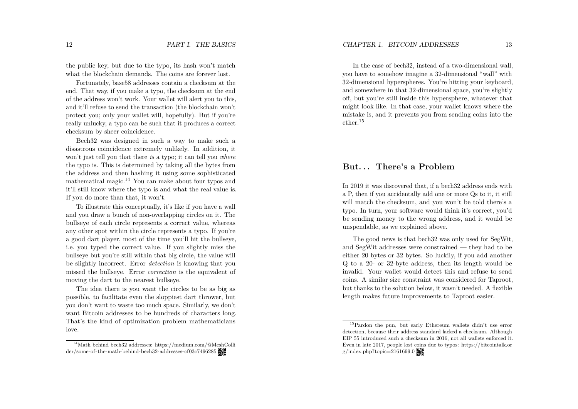the public key, but due to the typo, its hash won't match what the blockchain demands. The coins are forever lost.

Fortunately, base58 addresses contain a checksum at the end. That way, if you make a typo, the checksum at the end of the address won't work. Your wallet will alert you to this, and it'll refuse to send the transaction (the blockchain won't protect you; only your wallet will, hopefully). But if you're really unlucky, a typo can be such that it produces a correct checksum by sheer coincidence.

Bech32 was designed in such a way to make such a disastrous coincidence extremely unlikely. In addition, it won't just tell you that there *is* a typo; it can tell you *where* the typo is. This is determined by taking all the bytes from the address and then hashing it using some sophisticated mathematical magic.<sup>14</sup> You can make about four typos and it'll still know where the typo is and what the real value is. If you do more than that, it won't.

To illustrate this conceptually, it's like if you have a wall and you draw a bunch of non-overlapping circles on it. The bullseye of each circle represents a correct value, whereas any other spot within the circle represents a typo. If you're a good dart player, most of the time you'll hit the bullseye, i.e. you typed the correct value. If you slightly miss the bullseye but you're still within that big circle, the value will be slightly incorrect. Error *detection* is knowing that you missed the bullseye. Error *correction* is the equivalent of moving the dart to the nearest bullseye.

The idea there is you want the circles to be as big as possible, to facilitate even the sloppiest dart thrower, but you don't want to waste too much space. Similarly, we don't want Bitcoin addresses to be hundreds of characters long. That's the kind of optimization problem mathematicians love.

In the case of bech32, instead of a two-dimensional wall, you have to somehow imagine a 32-dimensional "wall" with 32-dimensional hyperspheres. You're hitting your keyboard, and somewhere in that 32-dimensional space, you're slightly off, but you're still inside this hypersphere, whatever that might look like. In that case, your wallet knows where the mistake is, and it prevents you from sending coins into the ether.<sup>15</sup>

#### **But. . . There's a Problem**

In 2019 it was discovered that, if a bech32 address ends with a P, then if you accidentally add one or more Qs to it, it still will match the checksum, and you won't be told there's a typo. In turn, your software would think it's correct, you'd be sending money to the wrong address, and it would be unspendable, as we explained above.

The good news is that bech32 was only used for SegWit, and SegWit addresses were constrained — they had to be either 20 bytes or 32 bytes. So luckily, if you add another Q to a 20- or 32-byte address, then its length would be invalid. Your wallet would detect this and refuse to send coins. A similar size constraint was considered for Taproot, but thanks to the solution below, it wasn't needed. A flexible length makes future improvements to Taproot easier.

<sup>&</sup>lt;sup>14</sup>Math behind bech32 addresses: https://medium.com/@MeshColli der/some-of-the-math-behind-bech32-addresses-cf03c7496285

<sup>15</sup>Pardon the pun, but early Ethereum wallets didn't use error detection, because their address standard lacked a checksum. Although EIP 55 introduced such a checksum in 2016, not all wallets enforced it. Even in late 2017, people lost coins due to typos: https://bitcointalk.or  $g/index.php?topic=2161699.0$